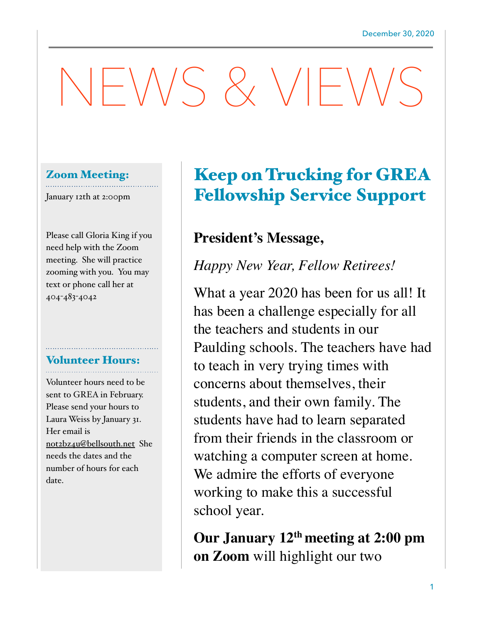# NEWS & VIEWS

## Zoom Meeting:

January 12th at 2:00pm

Please call Gloria King if you need help with the Zoom meeting. She will practice zooming with you. You may text or phone call her at 404-483-4042

# Volunteer Hours:

Volunteer hours need to be sent to GREA in February. Please send your hours to Laura Weiss by January 31. Her email is [not2bz4u@bellsouth.net](mailto:not2bz4u@bellsouth.net) She needs the dates and the number of hours for each date.

# Keep on Trucking for GREA Fellowship Service Support

# **President's Message,**

*Happy New Year, Fellow Retirees!* 

What a year 2020 has been for us all! It has been a challenge especially for all the teachers and students in our Paulding schools. The teachers have had to teach in very trying times with concerns about themselves, their students, and their own family. The students have had to learn separated from their friends in the classroom or watching a computer screen at home. We admire the efforts of everyone working to make this a successful school year.

**Our January 12th meeting at 2:00 pm on Zoom** will highlight our two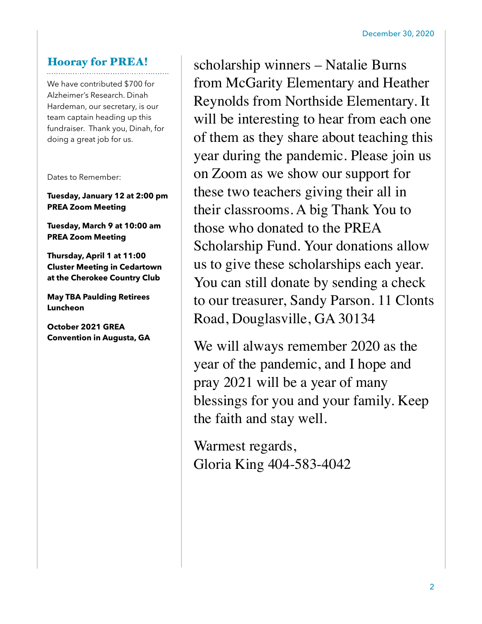## Hooray for PREA!

We have contributed \$700 for Alzheimer's Research. Dinah Hardeman, our secretary, is our team captain heading up this fundraiser. Thank you, Dinah, for doing a great job for us.

Dates to Remember:

**Tuesday, January 12 at 2:00 pm PREA Zoom Meeting** 

**Tuesday, March 9 at 10:00 am PREA Zoom Meeting** 

**Thursday, April 1 at 11:00 Cluster Meeting in Cedartown at the Cherokee Country Club** 

**May TBA Paulding Retirees Luncheon** 

**October 2021 GREA Convention in Augusta, GA** 

scholarship winners – Natalie Burns from McGarity Elementary and Heather Reynolds from Northside Elementary. It will be interesting to hear from each one of them as they share about teaching this year during the pandemic. Please join us on Zoom as we show our support for these two teachers giving their all in their classrooms. A big Thank You to those who donated to the PREA Scholarship Fund. Your donations allow us to give these scholarships each year. You can still donate by sending a check to our treasurer, Sandy Parson. 11 Clonts Road, Douglasville, GA 30134

We will always remember 2020 as the year of the pandemic, and I hope and pray 2021 will be a year of many blessings for you and your family. Keep the faith and stay well.

Warmest regards, Gloria King 404-583-4042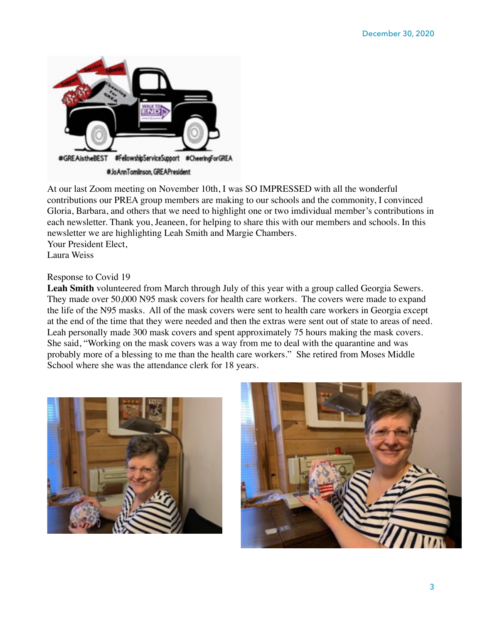

At our last Zoom meeting on November 10th, I was SO IMPRESSED with all the wonderful contributions our PREA group members are making to our schools and the commonity, I convinced Gloria, Barbara, and others that we need to highlight one or two imdividual member's contributions in each newsletter. Thank you, Jeaneen, for helping to share this with our members and schools. In this newsletter we are highlighting Leah Smith and Margie Chambers. Your President Elect,

Laura Weiss

#### Response to Covid 19

Leah Smith volunteered from March through July of this year with a group called Georgia Sewers. They made over 50,000 N95 mask covers for health care workers. The covers were made to expand the life of the N95 masks. All of the mask covers were sent to health care workers in Georgia except at the end of the time that they were needed and then the extras were sent out of state to areas of need. Leah personally made 300 mask covers and spent approximately 75 hours making the mask covers. She said, "Working on the mask covers was a way from me to deal with the quarantine and was probably more of a blessing to me than the health care workers." She retired from Moses Middle School where she was the attendance clerk for 18 years.



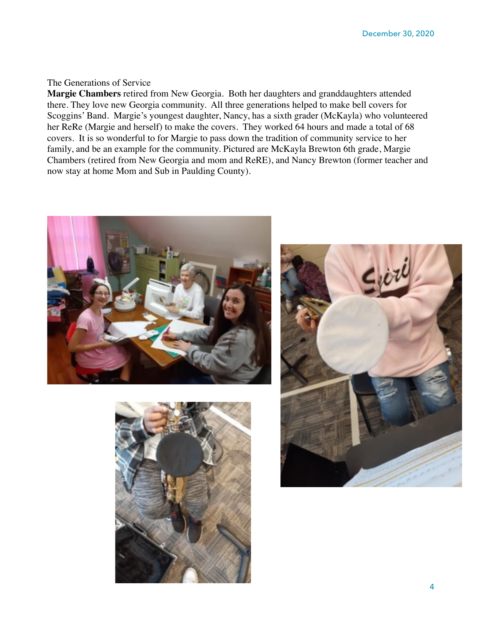#### The Generations of Service

**Margie Chambers** retired from New Georgia. Both her daughters and granddaughters attended there. They love new Georgia community. All three generations helped to make bell covers for Scoggins' Band. Margie's youngest daughter, Nancy, has a sixth grader (McKayla) who volunteered her ReRe (Margie and herself) to make the covers. They worked 64 hours and made a total of 68 covers. It is so wonderful to for Margie to pass down the tradition of community service to her family, and be an example for the community. Pictured are McKayla Brewton 6th grade, Margie Chambers (retired from New Georgia and mom and ReRE), and Nancy Brewton (former teacher and now stay at home Mom and Sub in Paulding County).





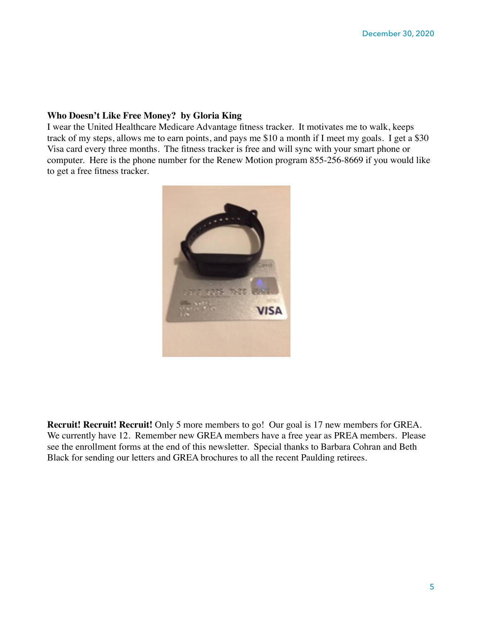#### **Who Doesn't Like Free Money? by Gloria King**

I wear the United Healthcare Medicare Advantage fitness tracker. It motivates me to walk, keeps track of my steps, allows me to earn points, and pays me \$10 a month if I meet my goals. I get a \$30 Visa card every three months. The fitness tracker is free and will sync with your smart phone or computer. Here is the phone number for the Renew Motion program 855-256-8669 if you would like to get a free fitness tracker.



**Recruit! Recruit! Recruit!** Only 5 more members to go! Our goal is 17 new members for GREA. We currently have 12. Remember new GREA members have a free year as PREA members. Please see the enrollment forms at the end of this newsletter. Special thanks to Barbara Cohran and Beth Black for sending our letters and GREA brochures to all the recent Paulding retirees.